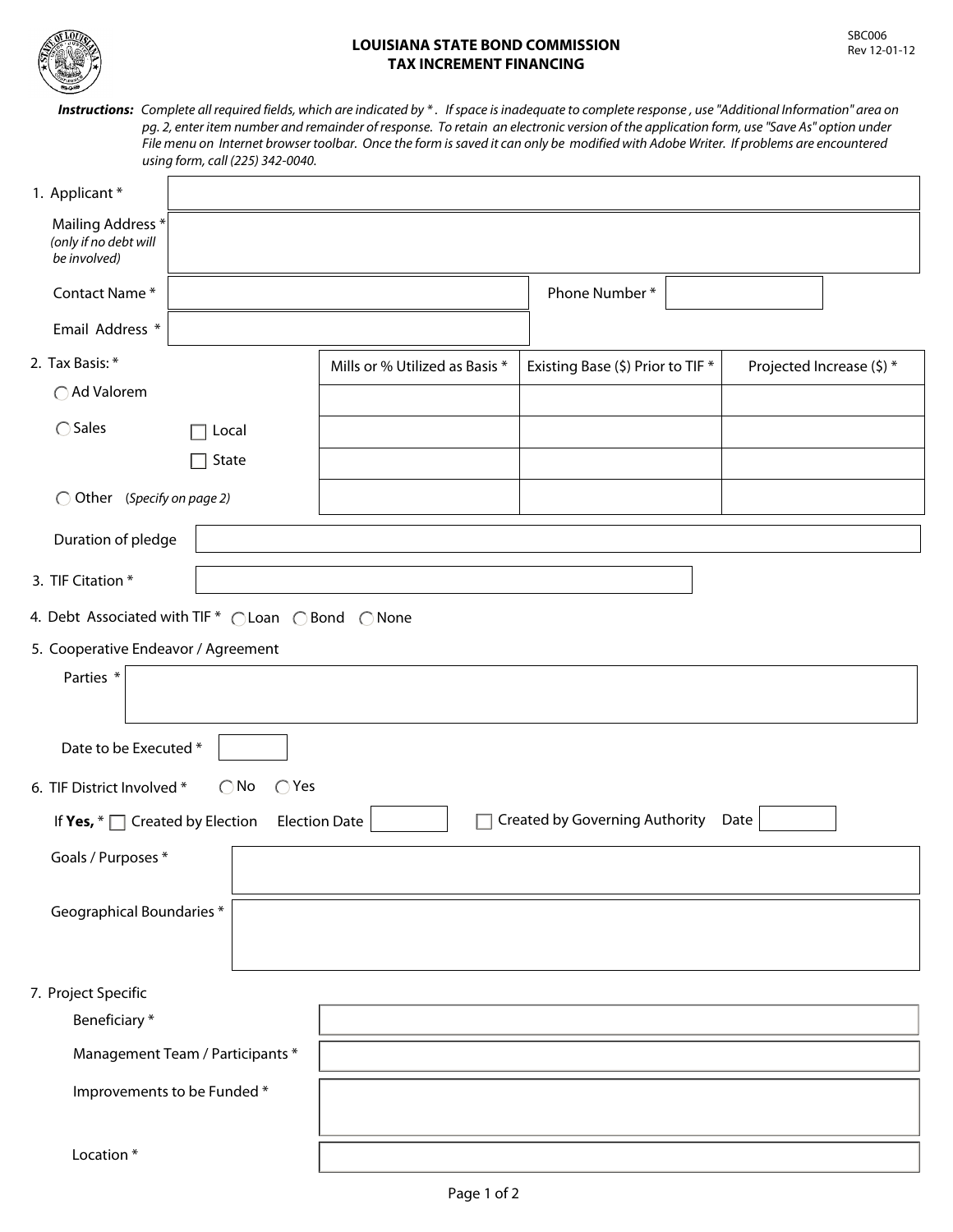

## **LOUISIANA STATE BOND COMMISSION TAX INCREMENT FINANCING**

*Instructions: Complete all required fields, which are indicated by \* . If space is inadequate to complete response , use "Additional Information" area on pg. 2, enter item number and remainder of response. To retain an electronic version of the application form, use "Save As" option under File menu on Internet browser toolbar. Once the form is saved it can only be modified with Adobe Writer. If problems are encountered using form, call (225) 342-0040.*

| 1. Applicant *                                                                                      |       |                                |                                   |                           |  |  |  |
|-----------------------------------------------------------------------------------------------------|-------|--------------------------------|-----------------------------------|---------------------------|--|--|--|
| Mailing Address *<br>(only if no debt will<br>be involved)                                          |       |                                |                                   |                           |  |  |  |
| Contact Name*                                                                                       |       |                                | Phone Number*                     |                           |  |  |  |
| Email Address *                                                                                     |       |                                |                                   |                           |  |  |  |
| 2. Tax Basis: *                                                                                     |       | Mills or % Utilized as Basis * | Existing Base (\$) Prior to TIF * | Projected Increase (\$) * |  |  |  |
| ○ Ad Valorem                                                                                        |       |                                |                                   |                           |  |  |  |
| $\bigcirc$ Sales                                                                                    | Local |                                |                                   |                           |  |  |  |
|                                                                                                     | State |                                |                                   |                           |  |  |  |
| O Other (Specify on page 2)                                                                         |       |                                |                                   |                           |  |  |  |
| Duration of pledge                                                                                  |       |                                |                                   |                           |  |  |  |
| 3. TIF Citation *                                                                                   |       |                                |                                   |                           |  |  |  |
| 4. Debt Associated with TIF * CLoan C Bond C None                                                   |       |                                |                                   |                           |  |  |  |
| 5. Cooperative Endeavor / Agreement                                                                 |       |                                |                                   |                           |  |  |  |
| Parties *                                                                                           |       |                                |                                   |                           |  |  |  |
| Date to be Executed *                                                                               |       |                                |                                   |                           |  |  |  |
| $\bigcirc$ Yes<br>6. TIF District Involved *<br>$\bigcirc$ No                                       |       |                                |                                   |                           |  |  |  |
| Created by Governing Authority Date<br>If Yes, $* \Box$ Created by Election<br><b>Election Date</b> |       |                                |                                   |                           |  |  |  |
| Goals / Purposes *                                                                                  |       |                                |                                   |                           |  |  |  |
| Geographical Boundaries *                                                                           |       |                                |                                   |                           |  |  |  |
| 7. Project Specific                                                                                 |       |                                |                                   |                           |  |  |  |
| Beneficiary*                                                                                        |       |                                |                                   |                           |  |  |  |
| Management Team / Participants *                                                                    |       |                                |                                   |                           |  |  |  |
| Improvements to be Funded*                                                                          |       |                                |                                   |                           |  |  |  |
| Location*                                                                                           |       |                                |                                   |                           |  |  |  |